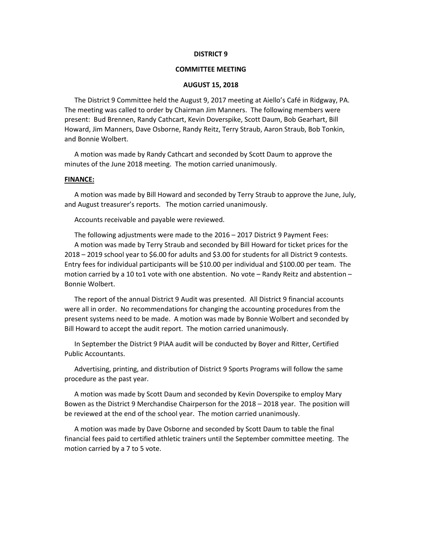#### **DISTRICT 9**

## **COMMITTEE MEETING**

#### **AUGUST 15, 2018**

The District 9 Committee held the August 9, 2017 meeting at Aiello's Café in Ridgway, PA. The meeting was called to order by Chairman Jim Manners. The following members were present: Bud Brennen, Randy Cathcart, Kevin Doverspike, Scott Daum, Bob Gearhart, Bill Howard, Jim Manners, Dave Osborne, Randy Reitz, Terry Straub, Aaron Straub, Bob Tonkin, and Bonnie Wolbert.

A motion was made by Randy Cathcart and seconded by Scott Daum to approve the minutes of the June 2018 meeting. The motion carried unanimously.

#### **FINANCE:**

A motion was made by Bill Howard and seconded by Terry Straub to approve the June, July, and August treasurer's reports. The motion carried unanimously.

Accounts receivable and payable were reviewed.

The following adjustments were made to the 2016 – 2017 District 9 Payment Fees: A motion was made by Terry Straub and seconded by Bill Howard for ticket prices for the 2018 – 2019 school year to \$6.00 for adults and \$3.00 for students for all District 9 contests. Entry fees for individual participants will be \$10.00 per individual and \$100.00 per team. The motion carried by a 10 to1 vote with one abstention. No vote – Randy Reitz and abstention – Bonnie Wolbert.

The report of the annual District 9 Audit was presented. All District 9 financial accounts were all in order. No recommendations for changing the accounting procedures from the present systems need to be made. A motion was made by Bonnie Wolbert and seconded by Bill Howard to accept the audit report. The motion carried unanimously.

In September the District 9 PIAA audit will be conducted by Boyer and Ritter, Certified Public Accountants.

Advertising, printing, and distribution of District 9 Sports Programs will follow the same procedure as the past year.

A motion was made by Scott Daum and seconded by Kevin Doverspike to employ Mary Bowen as the District 9 Merchandise Chairperson for the 2018 – 2018 year. The position will be reviewed at the end of the school year. The motion carried unanimously.

A motion was made by Dave Osborne and seconded by Scott Daum to table the final financial fees paid to certified athletic trainers until the September committee meeting. The motion carried by a 7 to 5 vote.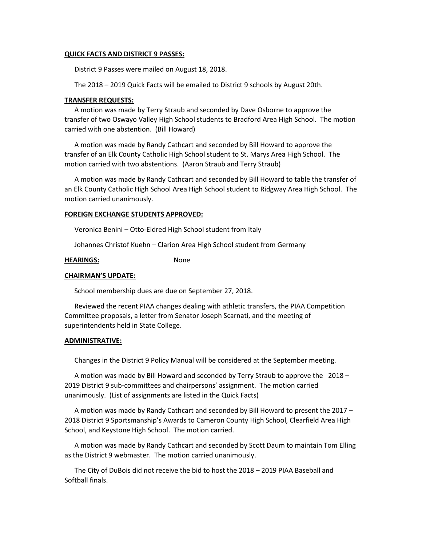## **QUICK FACTS AND DISTRICT 9 PASSES:**

District 9 Passes were mailed on August 18, 2018.

The 2018 – 2019 Quick Facts will be emailed to District 9 schools by August 20th.

## **TRANSFER REQUESTS:**

A motion was made by Terry Straub and seconded by Dave Osborne to approve the transfer of two Oswayo Valley High School students to Bradford Area High School. The motion carried with one abstention. (Bill Howard)

A motion was made by Randy Cathcart and seconded by Bill Howard to approve the transfer of an Elk County Catholic High School student to St. Marys Area High School. The motion carried with two abstentions. (Aaron Straub and Terry Straub)

A motion was made by Randy Cathcart and seconded by Bill Howard to table the transfer of an Elk County Catholic High School Area High School student to Ridgway Area High School. The motion carried unanimously.

## **FOREIGN EXCHANGE STUDENTS APPROVED:**

Veronica Benini – Otto-Eldred High School student from Italy

Johannes Christof Kuehn – Clarion Area High School student from Germany

## **HEARINGS:** None

#### **CHAIRMAN'S UPDATE:**

School membership dues are due on September 27, 2018.

Reviewed the recent PIAA changes dealing with athletic transfers, the PIAA Competition Committee proposals, a letter from Senator Joseph Scarnati, and the meeting of superintendents held in State College.

#### **ADMINISTRATIVE:**

Changes in the District 9 Policy Manual will be considered at the September meeting.

A motion was made by Bill Howard and seconded by Terry Straub to approve the 2018 – 2019 District 9 sub-committees and chairpersons' assignment. The motion carried unanimously. (List of assignments are listed in the Quick Facts)

A motion was made by Randy Cathcart and seconded by Bill Howard to present the 2017 – 2018 District 9 Sportsmanship's Awards to Cameron County High School, Clearfield Area High School, and Keystone High School. The motion carried.

A motion was made by Randy Cathcart and seconded by Scott Daum to maintain Tom Elling as the District 9 webmaster. The motion carried unanimously.

The City of DuBois did not receive the bid to host the 2018 – 2019 PIAA Baseball and Softball finals.